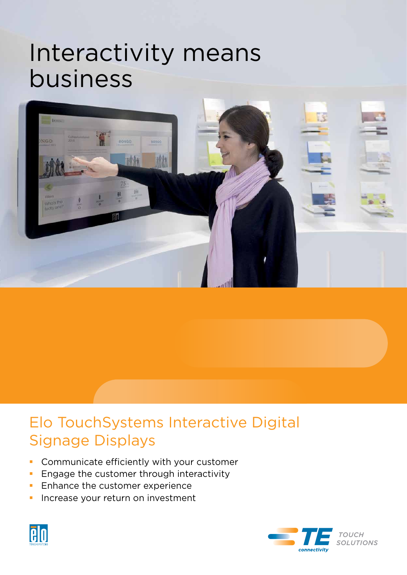# Interactivity means business



# Elo TouchSystems Interactive Digital Signage Displays

- **Communicate efficiently with your customer**
- **Engage the customer through interactivity**
- **Enhance the customer experience**
- **Increase your return on investment**



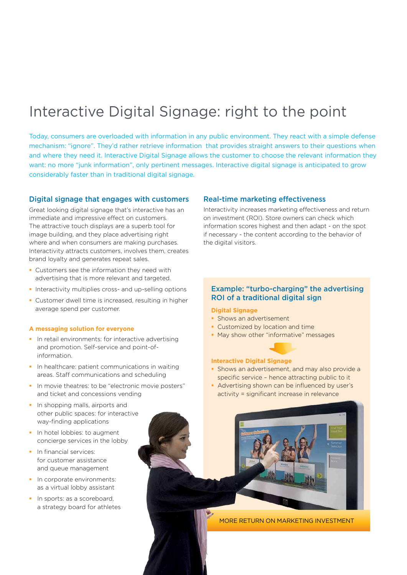# Interactive Digital Signage: right to the point

Today, consumers are overloaded with information in any public environment. They react with a simple defense mechanism: "ignore". They'd rather retrieve information that provides straight answers to their questions when and where they need it. Interactive Digital Signage allows the customer to choose the relevant information they want: no more "junk information", only pertinent messages. Interactive digital signage is anticipated to grow considerably faster than in traditional digital signage.

# Digital signage that engages with customers

Great looking digital signage that's interactive has an immediate and impressive effect on customers. The attractive touch displays are a superb tool for image building, and they place advertising right where and when consumers are making purchases. Interactivity attracts customers, involves them, creates brand loyalty and generates repeat sales.

- Customers see the information they need with advertising that is more relevant and targeted.
- Interactivity multiplies cross- and up-selling options
- Customer dwell time is increased, resulting in higher average spend per customer.

#### **A messaging solution for everyone**

- **I** In retail environments: for interactive advertising and promotion. Self-service and point-ofinformation.
- In healthcare: patient communications in waiting areas. Staff communications and scheduling
- In movie theatres: to be "electronic movie posters" and ticket and concessions vending
- **In shopping malls, airports and** other public spaces: for interactive way-finding applications
- In hotel lobbies: to augment concierge services in the lobby
- **In financial services:** for customer assistance and queue management
- In corporate environments: as a virtual lobby assistant
- In sports: as a scoreboard, a strategy board for athletes

# Real-time marketing effectiveness

Interactivity increases marketing effectiveness and return on investment (ROI). Store owners can check which information scores highest and then adapt - on the spot if necessary - the content according to the behavior of the digital visitors.

# Example: "turbo-charging" the advertising ROI of a traditional digital sign

## **Digital Signage**

- **Shows an advertisement**
- **Customized by location and time**
- **May show other "informative" messages**

#### **Interactive Digital Signage**

- **Shows an advertisement, and may also provide a** specific service – hence attracting public to it
- Advertising shown can be influenced by user's activity = significant increase in relevance



More return on marketing investment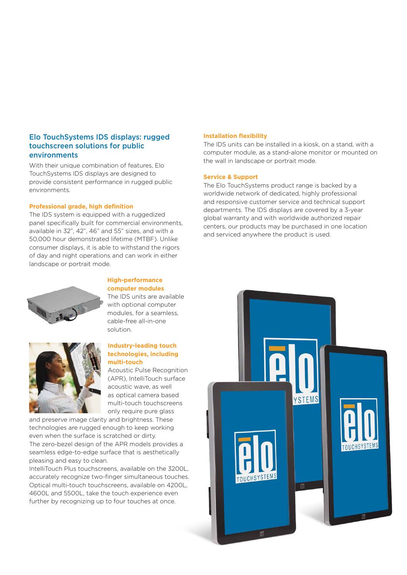# Elo TouchSystems IDS displays: rugged touchscreen solutions for public environments

With their unique combination of features, Elo TouchSystems IDS displays are designed to provide consistent performance in rugged public environments.

#### **Professional grade, high definition**

The IDS system is equipped with a ruggedized panel specifically built for commercial environments, available in 32", 42", 46" and 55" sizes, and with a 50,000 hour demonstrated lifetime (MTBF). Unlike consumer displays, it is able to withstand the rigors of day and night operations and can work in either landscape or portrait mode.



#### **High-performance computer modules**

The IDS units are available with optional computer modules, for a seamless, cable-free all-in-one solution.

# **Industry-leading touch technologies, including multi-touch**

Acoustic Pulse Recognition (APR), IntelliTouch surface acoustic wave, as well as optical camera based multi-touch touchscreens only require pure glass

and preserve image clarity and brightness. These technologies are rugged enough to keep working even when the surface is scratched or dirty.

The zero-bezel design of the APR models provides a seamless edge-to-edge surface that is aesthetically pleasing and easy to clean.

IntelliTouch Plus touchscreens, available on the 3200L, accurately recognize two-finger simultaneous touches. Optical multi-touch touchscreens, available on 4200L, 4600L and 5500L, take the touch experience even further by recognizing up to four touches at once.

### **Installation flexibility**

The IDS units can be installed in a kiosk, on a stand, with a computer module, as a stand-alone monitor or mounted on the wall in landscape or portrait mode.

### **Service & Support**

The Elo TouchSystems product range is backed by a worldwide network of dedicated, highly professional and responsive customer service and technical support departments. The IDS displays are covered by a 3-year global warranty and with worldwide authorized repair centers, our products may be purchased in one location and serviced anywhere the product is used.